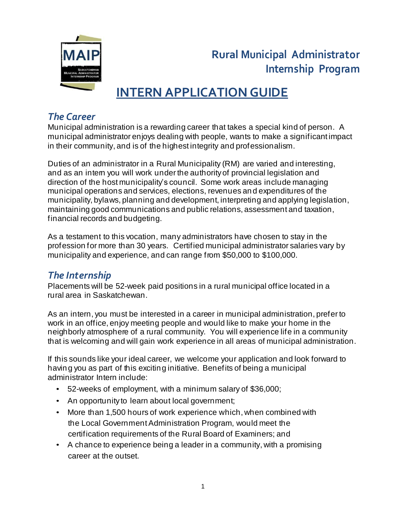

# **Rural Municipal Administrator Internship Program**

# **INTERN APPLICATION GUIDE**

## *The Career*

Municipal administration is a rewarding career that takes a special kind of person. A municipal administrator enjoys dealing with people, wants to make a significant impact in their community, and is of the highest integrity and professionalism.

Duties of an administrator in a Rural Municipality (RM) are varied and interesting, and as an intem you will work under the authority of provincial legislation and direction of the host municipality's council. Some work areas include managing municipal operations and services, elections, revenues and expenditures of the municipality, bylaws, planning and development, interpreting and applying legislation, maintaining good communications and public relations, assessment and taxation, financial records and budgeting.

As a testament to this vocation, many administrators have chosen to stay in the profession for more than 30 years. Certified municipal administrator salaries vary by municipality and experience, and can range from \$50,000 to \$100,000.

## *The Internship*

Placements will be 52-week paid positions in a rural municipal office located in a rural area in Saskatchewan.

As an intern, you must be interested in a career in municipal administration, prefer to work in an office, enjoy meeting people and would like to make your home in the neighborly atmosphere of a rural community. You will experience life in a community that is welcoming and will gain work experience in all areas of municipal administration.

If this sounds like your ideal career, we welcome your application and look forward to having you as part of this exciting initiative. Benefits of being a municipal administrator Intern include:

- 52-weeks of employment, with a minimum salary of \$36,000;
- An opportunity to learn about local government;
- More than 1,500 hours of work experience which, when combined with the Local GovernmentAdministration Program, would meet the certification requirements of the Rural Board of Examiners; and
- A chance to experience being a leader in a community, with a promising career at the outset.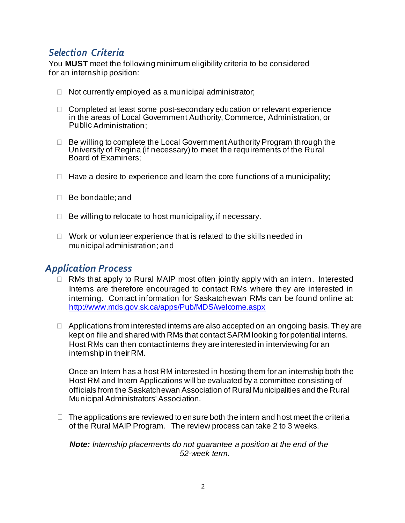#### *Selection Criteria*

You **MUST** meet the following minimum eligibility criteria to be considered for an internship position:

- $\Box$  Not currently employed as a municipal administrator;
- $\Box$  Completed at least some post-secondary education or relevant experience in the areas of Local Government Authority, Commerce, Administration, or Public Administration;
- $\Box$  Be willing to complete the Local Government Authority Program through the University of Regina (if necessary) to meet the requirements of the Rural Board of Examiners;
- $\Box$  Have a desire to experience and learn the core functions of a municipality;
- □ Be bondable: and
- $\Box$  Be willing to relocate to host municipality, if necessary.
- $\Box$  Work or volunteer experience that is related to the skills needed in municipal administration; and

#### *Application Process*

- $\Box$  RMs that apply to Rural MAIP most often jointly apply with an intern. Interested Interns are therefore encouraged to contact RMs where they are interested in interning. Contact information for Saskatchewan RMs can be found online at: http://www.mds.gov.sk.ca/apps/Pub/MDS/welcome.aspx
- $\Box$  Applications from interested interns are also accepted on an ongoing basis. They are kept on file and shared with RMs that contact SARM looking for potential interns. Host RMs can then contact interns they are interested in interviewing for an internship in their RM.
- $\Box$  Once an Intern has a host RM interested in hosting them for an internship both the Host RM and Intern Applications will be evaluated by a committee consisting of officials from the Saskatchewan Association of Rural Municipalities and the Rural Municipal Administrators' Association.
- $\Box$  The applications are reviewed to ensure both the intern and host meet the criteria of the Rural MAIP Program. The review process can take 2 to 3 weeks.

#### *Note: Internship placements do not guarantee a position at the end of the 52-week term.*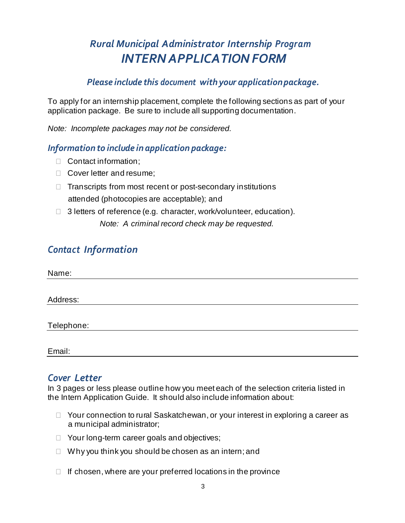# *Rural Municipal Administrator Internship Program INTERN APPLICATION FORM*

#### *Please include this document with your applicationpackage.*

To apply for an internship placement, complete the following sections as part of your application package. Be sure to include all supporting documentation.

*Note: Incomplete packages may not be considered.*

#### *Information to include in application package:*

- □ Contact information:
- □ Cover letter and resume:
- $\Box$  Transcripts from most recent or post-secondary institutions attended (photocopies are acceptable); and
- $\Box$  3 letters of reference (e.g. character, work/volunteer, education). *Note: A criminal record check may be requested.*

## *Contact Information*

*Cover Letter*

Email:

In 3 pages or less please outline how you meet each of the selection criteria listed in the Intern Application Guide. It should also include information about:

- $\Box$  Your connection to rural Saskatchewan, or your interest in exploring a career as a municipal administrator;
- $\Box$  Your long-term career goals and objectives;
- $\Box$  Why you think you should be chosen as an intern; and
- $\Box$  If chosen, where are your preferred locations in the province